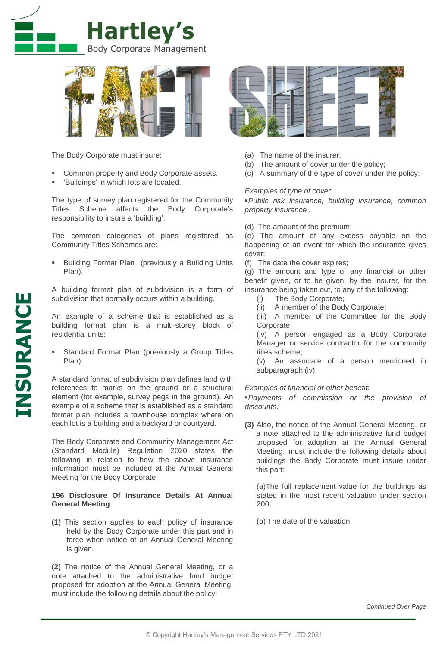



The Body Corporate must insure:

- Common property and Body Corporate assets.
- 'Buildings' in which lots are located.

The type of survey plan registered for the Community Titles Scheme affects the Body Corporate's responsibility to insure a 'building'.

The common categories of plans registered as Community Titles Schemes are:

 Building Format Plan (previously a Building Units Plan).

A building format plan of subdivision is a form of subdivision that normally occurs within a building.

An example of a scheme that is established as a building format plan is a multi-storey block of residential units:

 Standard Format Plan (previously a Group Titles Plan).

A standard format of subdivision plan defines land with references to marks on the ground or a structural element (for example, survey pegs in the ground). An example of a scheme that is established as a standard format plan includes a townhouse complex where on each lot is a building and a backyard or courtyard.

The Body Corporate and Community Management Act (Standard Module) Regulation 2020 states the following in relation to how the above insurance information must be included at the Annual General Meeting for the Body Corporate.

## **196 Disclosure Of Insurance Details At Annual General Meeting**

**(1)** This section applies to each policy of insurance held by the Body Corporate under this part and in force when notice of an Annual General Meeting is given.

**(2)** The notice of the Annual General Meeting, or a note attached to the administrative fund budget proposed for adoption at the Annual General Meeting, must include the following details about the policy:



- (a) The name of the insurer;
- (b) The amount of cover under the policy;
- (c) A summary of the type of cover under the policy;

## *Examples of type of cover*:

*Public risk insurance, building insurance, common property insurance* .

(d) The amount of the premium;

(e) The amount of any excess payable on the happening of an event for which the insurance gives cover;

(f) The date the cover expires;

(g) The amount and type of any financial or other benefit given, or to be given, by the insurer, for the insurance being taken out, to any of the following:

- (i) The Body Corporate;
- (ii) A member of the Body Corporate;
- (iii) A member of the Committee for the Body Corporate;

(iv) A person engaged as a Body Corporate Manager or service contractor for the community titles scheme;

(v) An associate of a person mentioned in subparagraph (iv).

## *Examples of financial or other benefit*:

*Payments of commission or the provision of discounts.*

**(3)** Also, the notice of the Annual General Meeting, or a note attached to the administrative fund budget proposed for adoption at the Annual General Meeting, must include the following details about buildings the Body Corporate must insure under this part:

(a)The full replacement value for the buildings as stated in the most recent valuation under section 200;

(b) The date of the valuation.